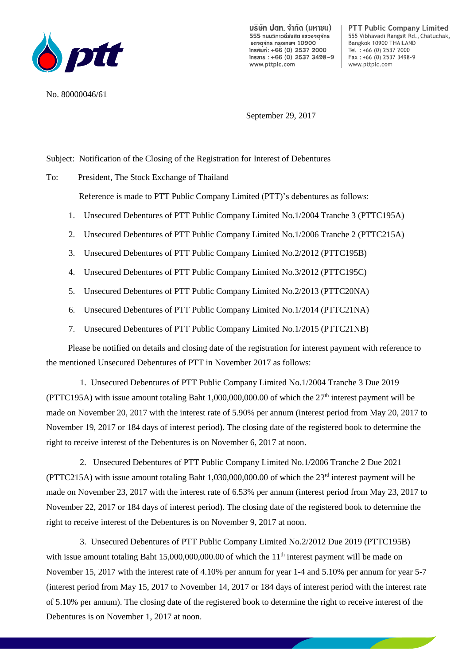

No. 80000046/61

บริษัท ปตท. จำกัด (มหาชน) 555 กนนวิภาวดีรังสิต แขวงจตจักร เขตจตจักร กรงเทพฯ 10900 Insศัพท์: +66 (0) 2537 2000  $Insans : +66 (0) 2537 3498 - 9$ www.pttplc.com

**PTT Public Company Limited** 555 Vibhavadi Rangsit Rd., Chatuchak, Bangkok 10900 THAILAND Tel : +66 (0) 2537 2000 Fax: +66 (0) 2537 3498-9 www.pttplc.com

September 29, 2017

Subject: Notification of the Closing of the Registration for Interest of Debentures

To: President, The Stock Exchange of Thailand

Reference is made to PTT Public Company Limited (PTT)'s debentures as follows:

- 1. Unsecured Debentures of PTT Public Company Limited No.1/2004 Tranche 3 (PTTC195A)
- 2. Unsecured Debentures of PTT Public Company Limited No.1/2006 Tranche 2 (PTTC215A)
- 3. Unsecured Debentures of PTT Public Company Limited No.2/2012 (PTTC195B)
- 4. Unsecured Debentures of PTT Public Company Limited No.3/2012 (PTTC195C)
- 5. Unsecured Debentures of PTT Public Company Limited No.2/2013 (PTTC20NA)
- 6. Unsecured Debentures of PTT Public Company Limited No.1/2014 (PTTC21NA)
- 7. Unsecured Debentures of PTT Public Company Limited No.1/2015 (PTTC21NB)

 Please be notified on details and closing date of the registration for interest payment with reference to the mentioned Unsecured Debentures of PTT in November 2017 as follows:

1. Unsecured Debentures of PTT Public Company Limited No.1/2004 Tranche 3 Due 2019 (PTTC195A) with issue amount totaling Baht 1,000,000,000.00 of which the  $27<sup>th</sup>$  interest payment will be made on November 20, 2017 with the interest rate of 5.90% per annum (interest period from May 20, 2017 to November 19, 2017 or 184 days of interest period). The closing date of the registered book to determine the right to receive interest of the Debentures is on November 6, 2017 at noon.

2. Unsecured Debentures of PTT Public Company Limited No.1/2006 Tranche 2 Due 2021  $(PTTC215A)$  with issue amount totaling Baht 1,030,000,000.00 of which the  $23<sup>rd</sup>$  interest payment will be made on November 23, 2017 with the interest rate of 6.53% per annum (interest period from May 23, 2017 to November 22, 2017 or 184 days of interest period). The closing date of the registered book to determine the right to receive interest of the Debentures is on November 9, 2017 at noon.

3. Unsecured Debentures of PTT Public Company Limited No.2/2012 Due 2019 (PTTC195B) with issue amount totaling Baht 15,000,000,000.00 of which the 11<sup>th</sup> interest payment will be made on November 15, 2017 with the interest rate of 4.10% per annum for year 1-4 and 5.10% per annum for year 5-7 (interest period from May 15, 2017 to November 14, 2017 or 184 days of interest period with the interest rate of 5.10% per annum). The closing date of the registered book to determine the right to receive interest of the Debentures is on November 1, 2017 at noon.